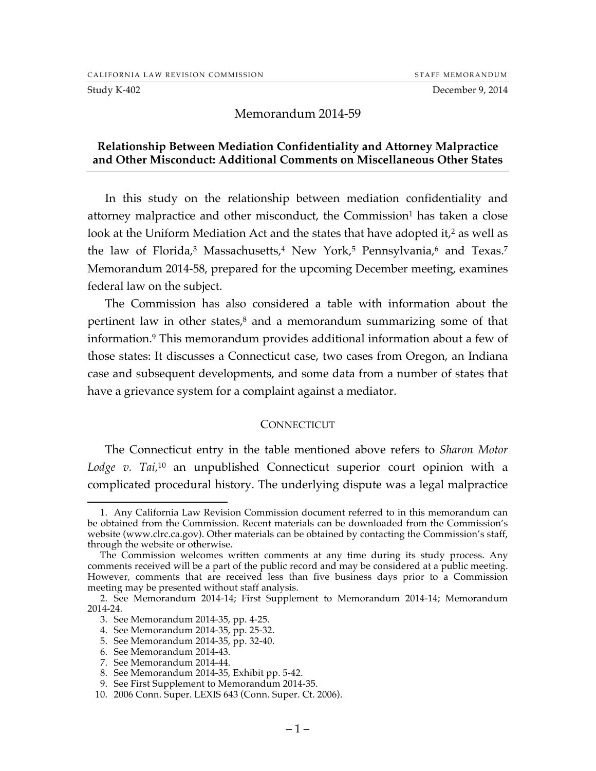Study K-402 December 9, 2014

# Memorandum 2014-59

## **Relationship Between Mediation Confidentiality and Attorney Malpractice and Other Misconduct: Additional Comments on Miscellaneous Other States**

In this study on the relationship between mediation confidentiality and attorney malpractice and other misconduct, the Commission<sup>1</sup> has taken a close look at the Uniform Mediation Act and the states that have adopted it,<sup>2</sup> as well as the law of Florida,<sup>3</sup> Massachusetts,<sup>4</sup> New York,<sup>5</sup> Pennsylvania,<sup>6</sup> and Texas.<sup>7</sup> Memorandum 2014-58, prepared for the upcoming December meeting, examines federal law on the subject.

The Commission has also considered a table with information about the pertinent law in other states, $8$  and a memorandum summarizing some of that information.9 This memorandum provides additional information about a few of those states: It discusses a Connecticut case, two cases from Oregon, an Indiana case and subsequent developments, and some data from a number of states that have a grievance system for a complaint against a mediator.

### **CONNECTICUT**

The Connecticut entry in the table mentioned above refers to *Sharon Motor Lodge v. Tai,*<sup>10</sup> an unpublished Connecticut superior court opinion with a complicated procedural history. The underlying dispute was a legal malpractice

 <sup>1.</sup> Any California Law Revision Commission document referred to in this memorandum can be obtained from the Commission. Recent materials can be downloaded from the Commission's website (www.clrc.ca.gov). Other materials can be obtained by contacting the Commission's staff, through the website or otherwise.

The Commission welcomes written comments at any time during its study process. Any comments received will be a part of the public record and may be considered at a public meeting. However, comments that are received less than five business days prior to a Commission meeting may be presented without staff analysis.

<sup>2.</sup> See Memorandum 2014-14; First Supplement to Memorandum 2014-14; Memorandum 2014-24.

<sup>3.</sup> See Memorandum 2014-35, pp. 4-25.

<sup>4.</sup> See Memorandum 2014-35, pp. 25-32.

<sup>5.</sup> See Memorandum 2014-35, pp. 32-40.

<sup>6.</sup> See Memorandum 2014-43.

<sup>7.</sup> See Memorandum 2014-44.

<sup>8.</sup> See Memorandum 2014-35, Exhibit pp. 5-42.

<sup>9.</sup> See First Supplement to Memorandum 2014-35.

<sup>10.</sup> 2006 Conn. Super. LEXIS 643 (Conn. Super. Ct. 2006).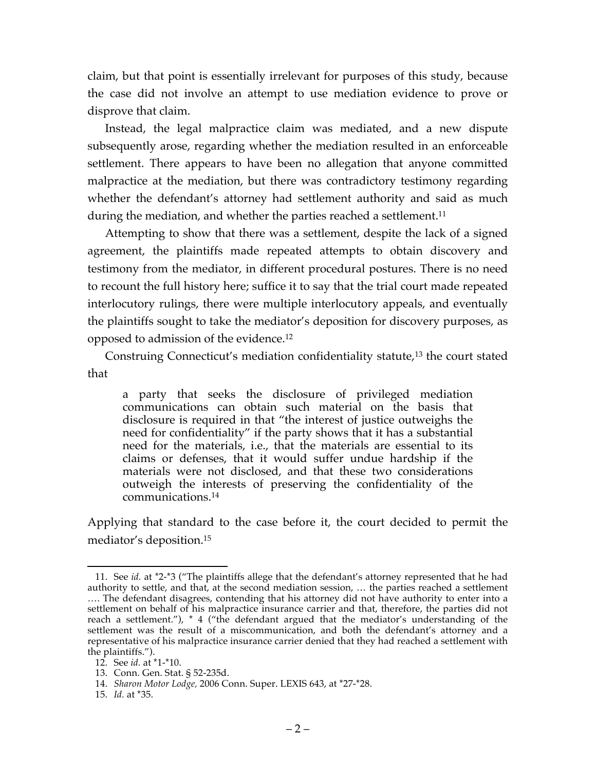claim, but that point is essentially irrelevant for purposes of this study, because the case did not involve an attempt to use mediation evidence to prove or disprove that claim.

Instead, the legal malpractice claim was mediated, and a new dispute subsequently arose, regarding whether the mediation resulted in an enforceable settlement. There appears to have been no allegation that anyone committed malpractice at the mediation, but there was contradictory testimony regarding whether the defendant's attorney had settlement authority and said as much during the mediation, and whether the parties reached a settlement.<sup>11</sup>

Attempting to show that there was a settlement, despite the lack of a signed agreement, the plaintiffs made repeated attempts to obtain discovery and testimony from the mediator, in different procedural postures. There is no need to recount the full history here; suffice it to say that the trial court made repeated interlocutory rulings, there were multiple interlocutory appeals, and eventually the plaintiffs sought to take the mediator's deposition for discovery purposes, as opposed to admission of the evidence.12

Construing Connecticut's mediation confidentiality statute,13 the court stated that

a party that seeks the disclosure of privileged mediation communications can obtain such material on the basis that disclosure is required in that "the interest of justice outweighs the need for confidentiality" if the party shows that it has a substantial need for the materials, i.e., that the materials are essential to its claims or defenses, that it would suffer undue hardship if the materials were not disclosed, and that these two considerations outweigh the interests of preserving the confidentiality of the communications.14

Applying that standard to the case before it, the court decided to permit the mediator's deposition.15

 <sup>11.</sup> See *id.* at \*2-\*3 ("The plaintiffs allege that the defendant's attorney represented that he had authority to settle, and that, at the second mediation session, … the parties reached a settlement …. The defendant disagrees, contending that his attorney did not have authority to enter into a settlement on behalf of his malpractice insurance carrier and that, therefore, the parties did not reach a settlement."), \* 4 ("the defendant argued that the mediator's understanding of the settlement was the result of a miscommunication, and both the defendant's attorney and a representative of his malpractice insurance carrier denied that they had reached a settlement with the plaintiffs.").

<sup>12.</sup> See *id.* at \*1-\*10.

<sup>13.</sup> Conn. Gen. Stat. § 52-235d.

<sup>14.</sup> *Sharon Motor Lodge,* 2006 Conn. Super. LEXIS 643, at \*27-\*28.

<sup>15.</sup> *Id.* at \*35.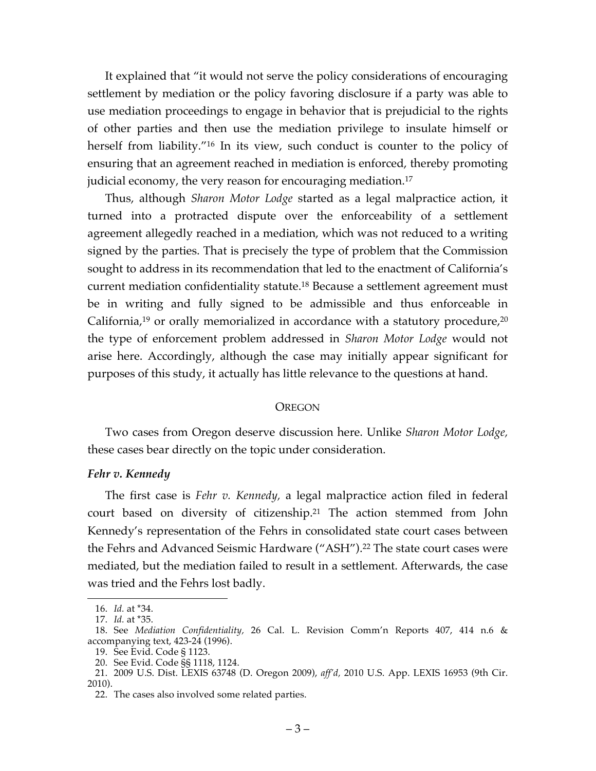It explained that "it would not serve the policy considerations of encouraging settlement by mediation or the policy favoring disclosure if a party was able to use mediation proceedings to engage in behavior that is prejudicial to the rights of other parties and then use the mediation privilege to insulate himself or herself from liability."<sup>16</sup> In its view, such conduct is counter to the policy of ensuring that an agreement reached in mediation is enforced, thereby promoting judicial economy, the very reason for encouraging mediation.17

Thus, although *Sharon Motor Lodge* started as a legal malpractice action, it turned into a protracted dispute over the enforceability of a settlement agreement allegedly reached in a mediation, which was not reduced to a writing signed by the parties. That is precisely the type of problem that the Commission sought to address in its recommendation that led to the enactment of California's current mediation confidentiality statute.18 Because a settlement agreement must be in writing and fully signed to be admissible and thus enforceable in California,<sup>19</sup> or orally memorialized in accordance with a statutory procedure,<sup>20</sup> the type of enforcement problem addressed in *Sharon Motor Lodge* would not arise here. Accordingly, although the case may initially appear significant for purposes of this study, it actually has little relevance to the questions at hand.

### **OREGON**

Two cases from Oregon deserve discussion here. Unlike *Sharon Motor Lodge,* these cases bear directly on the topic under consideration.

#### *Fehr v. Kennedy*

The first case is *Fehr v. Kennedy,* a legal malpractice action filed in federal court based on diversity of citizenship.21 The action stemmed from John Kennedy's representation of the Fehrs in consolidated state court cases between the Fehrs and Advanced Seismic Hardware ("ASH").22 The state court cases were mediated, but the mediation failed to result in a settlement. Afterwards, the case was tried and the Fehrs lost badly.

 <sup>16.</sup> *Id.* at \*34.

<sup>17.</sup> *Id.* at \*35.

<sup>18.</sup> See *Mediation Confidentiality,* 26 Cal. L. Revision Comm'n Reports 407, 414 n.6 & accompanying text, 423-24 (1996).

<sup>19.</sup> See Evid. Code § 1123.

<sup>20.</sup> See Evid. Code §§ 1118, 1124.

<sup>21.</sup> 2009 U.S. Dist. LEXIS 63748 (D. Oregon 2009), *aff'd,* 2010 U.S. App. LEXIS 16953 (9th Cir. 2010).

<sup>22.</sup> The cases also involved some related parties.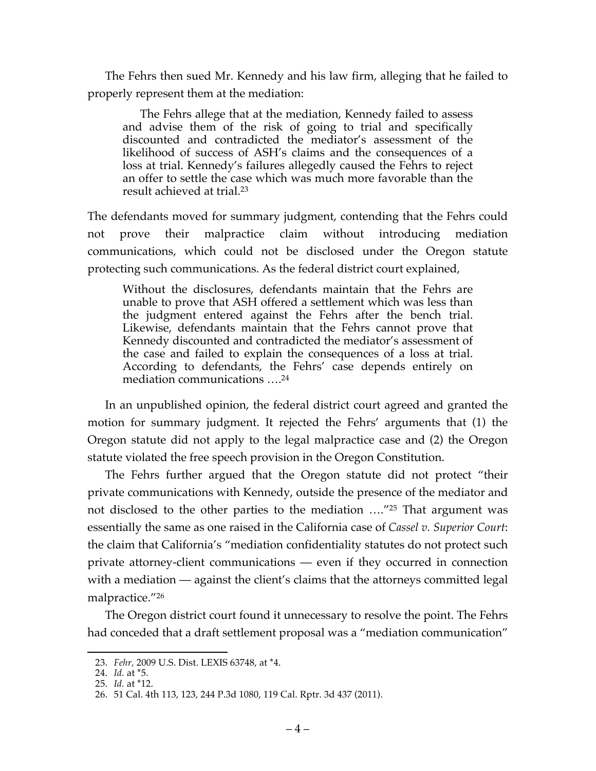The Fehrs then sued Mr. Kennedy and his law firm, alleging that he failed to properly represent them at the mediation:

The Fehrs allege that at the mediation, Kennedy failed to assess and advise them of the risk of going to trial and specifically discounted and contradicted the mediator's assessment of the likelihood of success of ASH's claims and the consequences of a loss at trial. Kennedy's failures allegedly caused the Fehrs to reject an offer to settle the case which was much more favorable than the result achieved at trial.23

The defendants moved for summary judgment, contending that the Fehrs could not prove their malpractice claim without introducing mediation communications, which could not be disclosed under the Oregon statute protecting such communications. As the federal district court explained,

Without the disclosures, defendants maintain that the Fehrs are unable to prove that ASH offered a settlement which was less than the judgment entered against the Fehrs after the bench trial. Likewise, defendants maintain that the Fehrs cannot prove that Kennedy discounted and contradicted the mediator's assessment of the case and failed to explain the consequences of a loss at trial. According to defendants, the Fehrs' case depends entirely on mediation communications ….24

In an unpublished opinion, the federal district court agreed and granted the motion for summary judgment. It rejected the Fehrs' arguments that (1) the Oregon statute did not apply to the legal malpractice case and (2) the Oregon statute violated the free speech provision in the Oregon Constitution.

The Fehrs further argued that the Oregon statute did not protect "their private communications with Kennedy, outside the presence of the mediator and not disclosed to the other parties to the mediation ...."<sup>25</sup> That argument was essentially the same as one raised in the California case of *Cassel v. Superior Court*: the claim that California's "mediation confidentiality statutes do not protect such private attorney-client communications — even if they occurred in connection with a mediation — against the client's claims that the attorneys committed legal malpractice."26

The Oregon district court found it unnecessary to resolve the point. The Fehrs had conceded that a draft settlement proposal was a "mediation communication"

 <sup>23.</sup> *Fehr,* 2009 U.S. Dist. LEXIS 63748, at \*4.

<sup>24.</sup> *Id.* at \*5.

<sup>25.</sup> *Id.* at \*12.

<sup>26.</sup> 51 Cal. 4th 113, 123, 244 P.3d 1080, 119 Cal. Rptr. 3d 437 (2011).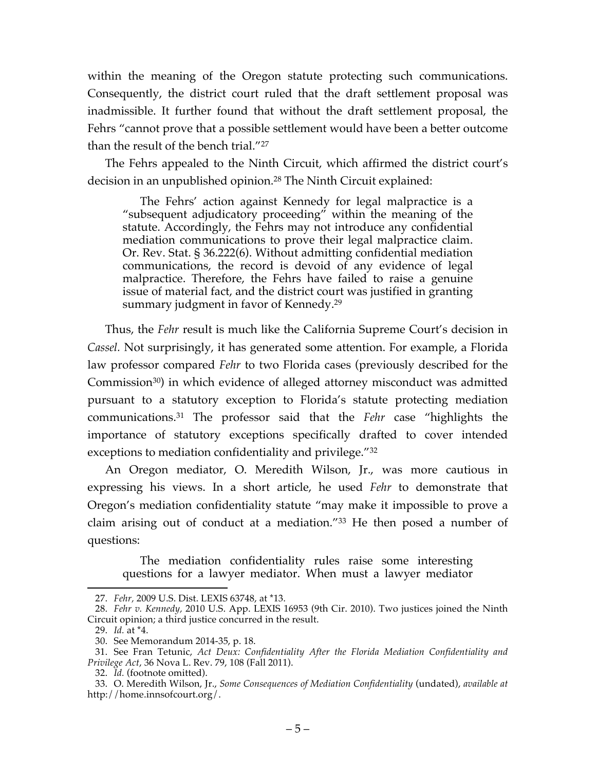within the meaning of the Oregon statute protecting such communications. Consequently, the district court ruled that the draft settlement proposal was inadmissible. It further found that without the draft settlement proposal, the Fehrs "cannot prove that a possible settlement would have been a better outcome than the result of the bench trial."27

The Fehrs appealed to the Ninth Circuit, which affirmed the district court's decision in an unpublished opinion.28 The Ninth Circuit explained:

The Fehrs' action against Kennedy for legal malpractice is a "subsequent adjudicatory proceeding" within the meaning of the statute. Accordingly, the Fehrs may not introduce any confidential mediation communications to prove their legal malpractice claim. Or. Rev. Stat. § 36.222(6). Without admitting confidential mediation communications, the record is devoid of any evidence of legal malpractice. Therefore, the Fehrs have failed to raise a genuine issue of material fact, and the district court was justified in granting summary judgment in favor of Kennedy.<sup>29</sup>

Thus, the *Fehr* result is much like the California Supreme Court's decision in *Cassel.* Not surprisingly, it has generated some attention. For example, a Florida law professor compared *Fehr* to two Florida cases (previously described for the Commission30) in which evidence of alleged attorney misconduct was admitted pursuant to a statutory exception to Florida's statute protecting mediation communications. <sup>31</sup> The professor said that the *Fehr* case "highlights the importance of statutory exceptions specifically drafted to cover intended exceptions to mediation confidentiality and privilege."32

An Oregon mediator, O. Meredith Wilson, Jr., was more cautious in expressing his views. In a short article, he used *Fehr* to demonstrate that Oregon's mediation confidentiality statute "may make it impossible to prove a claim arising out of conduct at a mediation."33 He then posed a number of questions:

The mediation confidentiality rules raise some interesting questions for a lawyer mediator. When must a lawyer mediator

 <sup>27.</sup> *Fehr,* 2009 U.S. Dist. LEXIS 63748, at \*13.

<sup>28.</sup> *Fehr v. Kennedy,* 2010 U.S. App. LEXIS 16953 (9th Cir. 2010). Two justices joined the Ninth Circuit opinion; a third justice concurred in the result.

<sup>29.</sup> *Id.* at \*4.

<sup>30.</sup> See Memorandum 2014-35, p. 18.

<sup>31.</sup> See Fran Tetunic, *Act Deux: Confidentiality After the Florida Mediation Confidentiality and Privilege Act*, 36 Nova L. Rev. 79, 108 (Fall 2011).

<sup>32.</sup> *Id.* (footnote omitted).

<sup>33.</sup> O. Meredith Wilson, Jr., *Some Consequences of Mediation Confidentiality* (undated), *available at* http://home.innsofcourt.org/.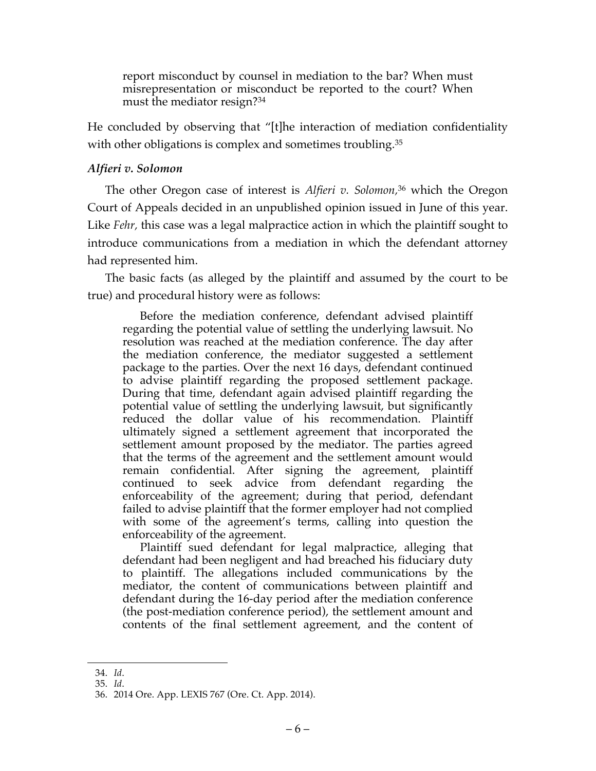report misconduct by counsel in mediation to the bar? When must misrepresentation or misconduct be reported to the court? When must the mediator resign?34

He concluded by observing that "[t]he interaction of mediation confidentiality with other obligations is complex and sometimes troubling.<sup>35</sup>

## *Alfieri v. Solomon*

The other Oregon case of interest is *Alfieri v. Solomon,* <sup>36</sup> which the Oregon Court of Appeals decided in an unpublished opinion issued in June of this year. Like *Fehr,* this case was a legal malpractice action in which the plaintiff sought to introduce communications from a mediation in which the defendant attorney had represented him.

The basic facts (as alleged by the plaintiff and assumed by the court to be true) and procedural history were as follows:

Before the mediation conference, defendant advised plaintiff regarding the potential value of settling the underlying lawsuit. No resolution was reached at the mediation conference. The day after the mediation conference, the mediator suggested a settlement package to the parties. Over the next 16 days, defendant continued to advise plaintiff regarding the proposed settlement package. During that time, defendant again advised plaintiff regarding the potential value of settling the underlying lawsuit, but significantly reduced the dollar value of his recommendation. Plaintiff ultimately signed a settlement agreement that incorporated the settlement amount proposed by the mediator. The parties agreed that the terms of the agreement and the settlement amount would remain confidential. After signing the agreement, plaintiff continued to seek advice from defendant regarding the enforceability of the agreement; during that period, defendant failed to advise plaintiff that the former employer had not complied with some of the agreement's terms, calling into question the enforceability of the agreement.

Plaintiff sued defendant for legal malpractice, alleging that defendant had been negligent and had breached his fiduciary duty to plaintiff. The allegations included communications by the mediator, the content of communications between plaintiff and defendant during the 16-day period after the mediation conference (the post-mediation conference period), the settlement amount and contents of the final settlement agreement, and the content of

 <sup>34.</sup> *Id*.

<sup>35.</sup> *Id*.

<sup>36.</sup> 2014 Ore. App. LEXIS 767 (Ore. Ct. App. 2014).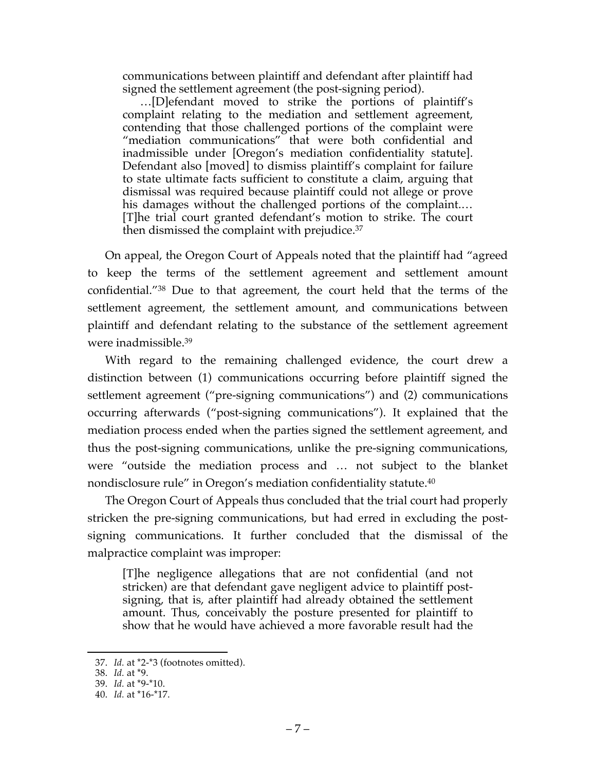communications between plaintiff and defendant after plaintiff had signed the settlement agreement (the post-signing period).

…[D]efendant moved to strike the portions of plaintiff's complaint relating to the mediation and settlement agreement, contending that those challenged portions of the complaint were "mediation communications" that were both confidential and inadmissible under [Oregon's mediation confidentiality statute]. Defendant also [moved] to dismiss plaintiff's complaint for failure to state ultimate facts sufficient to constitute a claim, arguing that dismissal was required because plaintiff could not allege or prove his damages without the challenged portions of the complaint.... [T]he trial court granted defendant's motion to strike. The court then dismissed the complaint with prejudice.37

On appeal, the Oregon Court of Appeals noted that the plaintiff had "agreed to keep the terms of the settlement agreement and settlement amount confidential."38 Due to that agreement, the court held that the terms of the settlement agreement, the settlement amount, and communications between plaintiff and defendant relating to the substance of the settlement agreement were inadmissible. 39

With regard to the remaining challenged evidence, the court drew a distinction between (1) communications occurring before plaintiff signed the settlement agreement ("pre-signing communications") and (2) communications occurring afterwards ("post-signing communications"). It explained that the mediation process ended when the parties signed the settlement agreement, and thus the post-signing communications, unlike the pre-signing communications, were "outside the mediation process and … not subject to the blanket nondisclosure rule" in Oregon's mediation confidentiality statute.<sup>40</sup>

The Oregon Court of Appeals thus concluded that the trial court had properly stricken the pre-signing communications, but had erred in excluding the postsigning communications. It further concluded that the dismissal of the malpractice complaint was improper:

[T]he negligence allegations that are not confidential (and not stricken) are that defendant gave negligent advice to plaintiff postsigning, that is, after plaintiff had already obtained the settlement amount. Thus, conceivably the posture presented for plaintiff to show that he would have achieved a more favorable result had the

 <sup>37.</sup> *Id.* at \*2-\*3 (footnotes omitted).

<sup>38.</sup> *Id.* at \*9.

<sup>39.</sup> *Id.* at \*9-\*10.

<sup>40.</sup> *Id.* at \*16-\*17.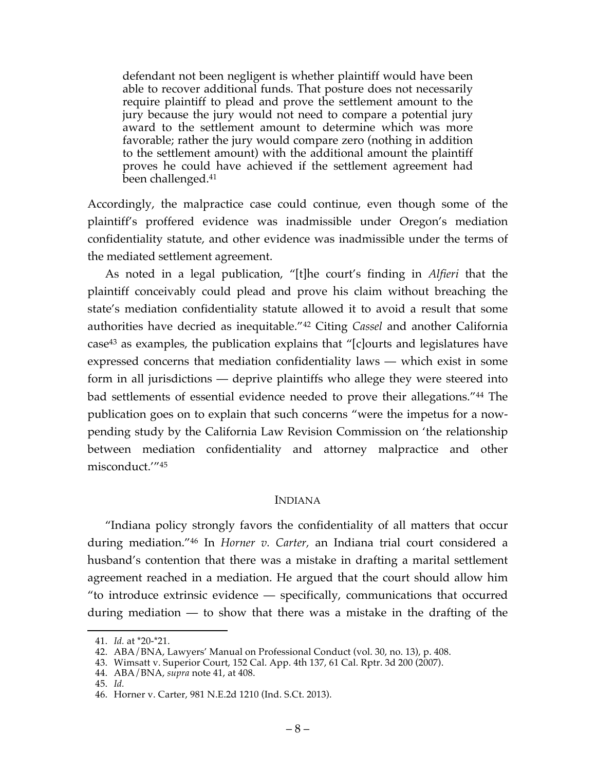defendant not been negligent is whether plaintiff would have been able to recover additional funds. That posture does not necessarily require plaintiff to plead and prove the settlement amount to the jury because the jury would not need to compare a potential jury award to the settlement amount to determine which was more favorable; rather the jury would compare zero (nothing in addition to the settlement amount) with the additional amount the plaintiff proves he could have achieved if the settlement agreement had been challenged.41

Accordingly, the malpractice case could continue, even though some of the plaintiff's proffered evidence was inadmissible under Oregon's mediation confidentiality statute, and other evidence was inadmissible under the terms of the mediated settlement agreement.

As noted in a legal publication, "[t]he court's finding in *Alfieri* that the plaintiff conceivably could plead and prove his claim without breaching the state's mediation confidentiality statute allowed it to avoid a result that some authorities have decried as inequitable."42 Citing *Cassel* and another California case43 as examples, the publication explains that "[c]ourts and legislatures have expressed concerns that mediation confidentiality laws — which exist in some form in all jurisdictions — deprive plaintiffs who allege they were steered into bad settlements of essential evidence needed to prove their allegations."44 The publication goes on to explain that such concerns "were the impetus for a nowpending study by the California Law Revision Commission on 'the relationship between mediation confidentiality and attorney malpractice and other misconduct.'"45

## INDIANA

"Indiana policy strongly favors the confidentiality of all matters that occur during mediation."46 In *Horner v. Carter,* an Indiana trial court considered a husband's contention that there was a mistake in drafting a marital settlement agreement reached in a mediation. He argued that the court should allow him "to introduce extrinsic evidence — specifically, communications that occurred during mediation — to show that there was a mistake in the drafting of the

 <sup>41.</sup> *Id.* at \*20-\*21.

<sup>42.</sup> ABA/BNA, Lawyers' Manual on Professional Conduct (vol. 30, no. 13), p. 408.

<sup>43.</sup> Wimsatt v. Superior Court, 152 Cal. App. 4th 137, 61 Cal. Rptr. 3d 200 (2007).

<sup>44.</sup> ABA/BNA, *supra* note 41, at 408.

<sup>45.</sup> *Id.*

<sup>46.</sup> Horner v. Carter, 981 N.E.2d 1210 (Ind. S.Ct. 2013).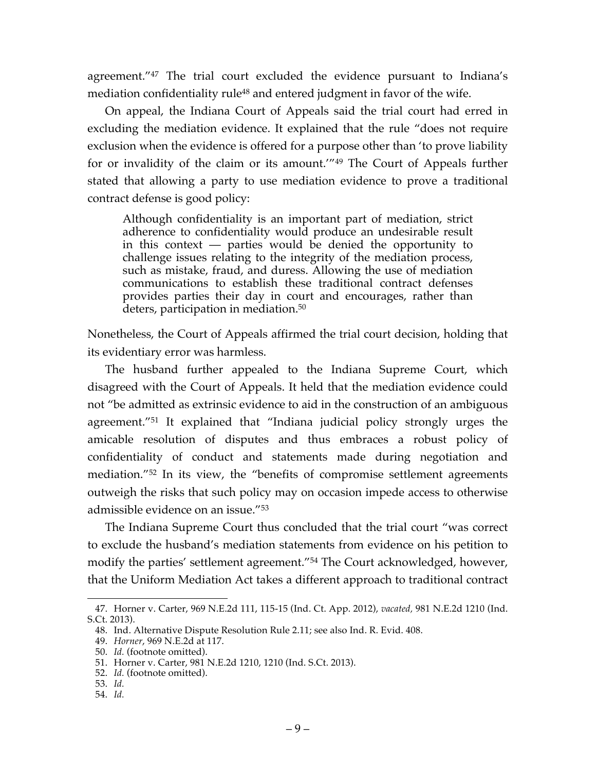agreement."47 The trial court excluded the evidence pursuant to Indiana's mediation confidentiality rule<sup>48</sup> and entered judgment in favor of the wife.

On appeal, the Indiana Court of Appeals said the trial court had erred in excluding the mediation evidence. It explained that the rule "does not require exclusion when the evidence is offered for a purpose other than 'to prove liability for or invalidity of the claim or its amount.'"49 The Court of Appeals further stated that allowing a party to use mediation evidence to prove a traditional contract defense is good policy:

Although confidentiality is an important part of mediation, strict adherence to confidentiality would produce an undesirable result in this context  $-$  parties would be denied the opportunity to challenge issues relating to the integrity of the mediation process, such as mistake, fraud, and duress. Allowing the use of mediation communications to establish these traditional contract defenses provides parties their day in court and encourages, rather than deters, participation in mediation.<sup>50</sup>

Nonetheless, the Court of Appeals affirmed the trial court decision, holding that its evidentiary error was harmless.

The husband further appealed to the Indiana Supreme Court, which disagreed with the Court of Appeals. It held that the mediation evidence could not "be admitted as extrinsic evidence to aid in the construction of an ambiguous agreement."51 It explained that "Indiana judicial policy strongly urges the amicable resolution of disputes and thus embraces a robust policy of confidentiality of conduct and statements made during negotiation and mediation."52 In its view, the "benefits of compromise settlement agreements outweigh the risks that such policy may on occasion impede access to otherwise admissible evidence on an issue."53

The Indiana Supreme Court thus concluded that the trial court "was correct to exclude the husband's mediation statements from evidence on his petition to modify the parties' settlement agreement."54 The Court acknowledged, however, that the Uniform Mediation Act takes a different approach to traditional contract

54. *Id.*

 <sup>47.</sup> Horner v. Carter, 969 N.E.2d 111, 115-15 (Ind. Ct. App. 2012), *vacated,* 981 N.E.2d 1210 (Ind. S.Ct. 2013).

<sup>48.</sup> Ind. Alternative Dispute Resolution Rule 2.11; see also Ind. R. Evid. 408.

<sup>49.</sup> *Horner*, 969 N.E.2d at 117.

<sup>50.</sup> *Id.* (footnote omitted).

<sup>51.</sup> Horner v. Carter, 981 N.E.2d 1210, 1210 (Ind. S.Ct. 2013).

<sup>52.</sup> *Id.* (footnote omitted).

<sup>53.</sup> *Id.*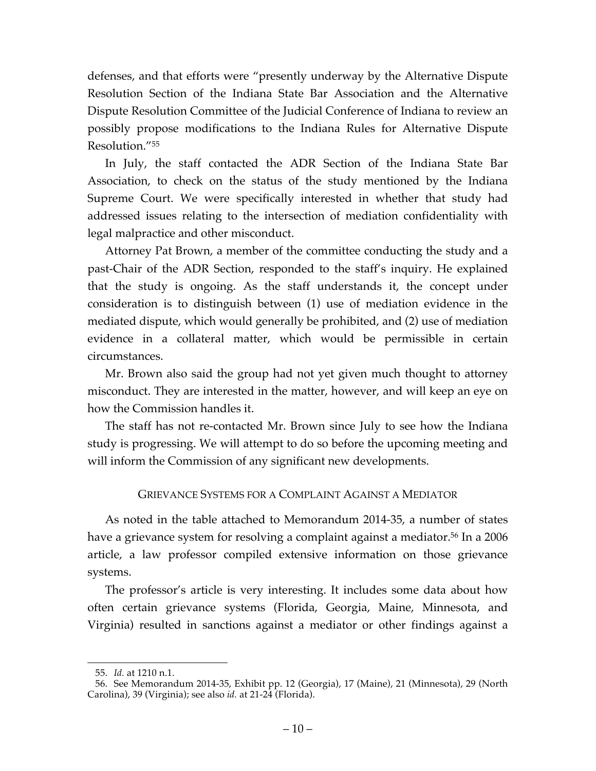defenses, and that efforts were "presently underway by the Alternative Dispute Resolution Section of the Indiana State Bar Association and the Alternative Dispute Resolution Committee of the Judicial Conference of Indiana to review an possibly propose modifications to the Indiana Rules for Alternative Dispute Resolution."55

In July, the staff contacted the ADR Section of the Indiana State Bar Association, to check on the status of the study mentioned by the Indiana Supreme Court. We were specifically interested in whether that study had addressed issues relating to the intersection of mediation confidentiality with legal malpractice and other misconduct.

Attorney Pat Brown, a member of the committee conducting the study and a past-Chair of the ADR Section, responded to the staff's inquiry. He explained that the study is ongoing. As the staff understands it, the concept under consideration is to distinguish between (1) use of mediation evidence in the mediated dispute, which would generally be prohibited, and (2) use of mediation evidence in a collateral matter, which would be permissible in certain circumstances.

Mr. Brown also said the group had not yet given much thought to attorney misconduct. They are interested in the matter, however, and will keep an eye on how the Commission handles it.

The staff has not re-contacted Mr. Brown since July to see how the Indiana study is progressing. We will attempt to do so before the upcoming meeting and will inform the Commission of any significant new developments.

# GRIEVANCE SYSTEMS FOR A COMPLAINT AGAINST A MEDIATOR

As noted in the table attached to Memorandum 2014-35, a number of states have a grievance system for resolving a complaint against a mediator.<sup>56</sup> In a 2006 article, a law professor compiled extensive information on those grievance systems.

The professor's article is very interesting. It includes some data about how often certain grievance systems (Florida, Georgia, Maine, Minnesota, and Virginia) resulted in sanctions against a mediator or other findings against a

 <sup>55.</sup> *Id.* at 1210 n.1.

<sup>56.</sup> See Memorandum 2014-35, Exhibit pp. 12 (Georgia), 17 (Maine), 21 (Minnesota), 29 (North Carolina), 39 (Virginia); see also *id.* at 21-24 (Florida).